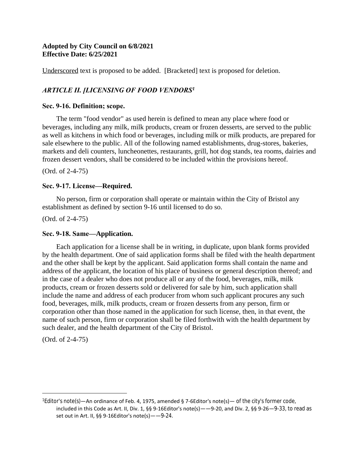### **Adopted by City Council on 6/8/2021 Effective Date: 6/25/2021**

Underscored text is proposed to be added. [Bracketed] text is proposed for deletion.

# *ARTICLE II. [LICENSING OF FOOD VENDORS<sup>1</sup>*

### **Sec. 9-16. Definition; scope.**

The term "food vendor" as used herein is defined to mean any place where food or beverages, including any milk, milk products, cream or frozen desserts, are served to the public as well as kitchens in which food or beverages, including milk or milk products, are prepared for sale elsewhere to the public. All of the following named establishments, drug-stores, bakeries, markets and deli counters, luncheonettes, restaurants, grill, hot dog stands, tea rooms, dairies and frozen dessert vendors, shall be considered to be included within the provisions hereof.

(Ord. of 2-4-75)

# **Sec. 9-17. License—Required.**

No person, firm or corporation shall operate or maintain within the City of Bristol any establishment as defined by section 9-16 until licensed to do so.

(Ord. of 2-4-75)

# **Sec. 9-18. Same—Application.**

Each application for a license shall be in writing, in duplicate, upon blank forms provided by the health department. One of said application forms shall be filed with the health department and the other shall be kept by the applicant. Said application forms shall contain the name and address of the applicant, the location of his place of business or general description thereof; and in the case of a dealer who does not produce all or any of the food, beverages, milk, milk products, cream or frozen desserts sold or delivered for sale by him, such application shall include the name and address of each producer from whom such applicant procures any such food, beverages, milk, milk products, cream or frozen desserts from any person, firm or corporation other than those named in the application for such license, then, in that event, the name of such person, firm or corporation shall be filed forthwith with the health department by such dealer, and the health department of the City of Bristol.

(Ord. of 2-4-75)

<sup>&</sup>lt;sup>1</sup>Editor's note(s)—An ordinance of Feb. 4, 1975, amended § 7-6Editor's note(s)— of the city's former code, included in this Code as Art. II, Div. 1, §§ 9-16Editor's note(s)——9-20, and Div. 2, §§ 9-26—9-33, to read as set out in Art. II, §§ 9-16Editor's note(s)——9-24.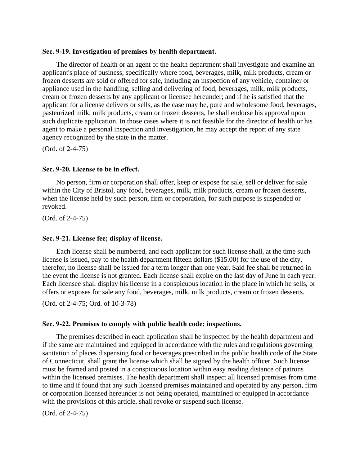#### **Sec. 9-19. Investigation of premises by health department.**

The director of health or an agent of the health department shall investigate and examine an applicant's place of business, specifically where food, beverages, milk, milk products, cream or frozen desserts are sold or offered for sale, including an inspection of any vehicle, container or appliance used in the handling, selling and delivering of food, beverages, milk, milk products, cream or frozen desserts by any applicant or licensee hereunder; and if he is satisfied that the applicant for a license delivers or sells, as the case may be, pure and wholesome food, beverages, pasteurized milk, milk products, cream or frozen desserts, he shall endorse his approval upon such duplicate application. In those cases where it is not feasible for the director of health or his agent to make a personal inspection and investigation, he may accept the report of any state agency recognized by the state in the matter.

(Ord. of 2-4-75)

#### **Sec. 9-20. License to be in effect.**

No person, firm or corporation shall offer, keep or expose for sale, sell or deliver for sale within the City of Bristol, any food, beverages, milk, milk products, cream or frozen desserts, when the license held by such person, firm or corporation, for such purpose is suspended or revoked.

(Ord. of 2-4-75)

#### **Sec. 9-21. License fee; display of license.**

Each license shall be numbered, and each applicant for such license shall, at the time such license is issued, pay to the health department fifteen dollars (\$15.00) for the use of the city, therefor, no license shall be issued for a term longer than one year. Said fee shall be returned in the event the license is not granted. Each license shall expire on the last day of June in each year. Each licensee shall display his license in a conspicuous location in the place in which he sells, or offers or exposes for sale any food, beverages, milk, milk products, cream or frozen desserts.

(Ord. of 2-4-75; Ord. of 10-3-78)

#### **Sec. 9-22. Premises to comply with public health code; inspections.**

The premises described in each application shall be inspected by the health department and if the same are maintained and equipped in accordance with the rules and regulations governing sanitation of places dispensing food or beverages prescribed in the public health code of the State of Connecticut, shall grant the license which shall be signed by the health officer. Such license must be framed and posted in a conspicuous location within easy reading distance of patrons within the licensed premises. The health department shall inspect all licensed premises from time to time and if found that any such licensed premises maintained and operated by any person, firm or corporation licensed hereunder is not being operated, maintained or equipped in accordance with the provisions of this article, shall revoke or suspend such license.

(Ord. of 2-4-75)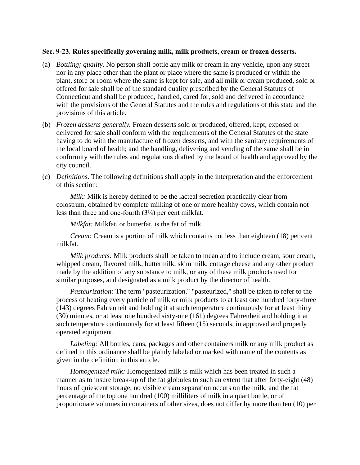#### **Sec. 9-23. Rules specifically governing milk, milk products, cream or frozen desserts.**

- (a) *Bottling; quality.* No person shall bottle any milk or cream in any vehicle, upon any street nor in any place other than the plant or place where the same is produced or within the plant, store or room where the same is kept for sale, and all milk or cream produced, sold or offered for sale shall be of the standard quality prescribed by the General Statutes of Connecticut and shall be produced, handled, cared for, sold and delivered in accordance with the provisions of the General Statutes and the rules and regulations of this state and the provisions of this article.
- (b) *Frozen desserts generally.* Frozen desserts sold or produced, offered, kept, exposed or delivered for sale shall conform with the requirements of the General Statutes of the state having to do with the manufacture of frozen desserts, and with the sanitary requirements of the local board of health; and the handling, delivering and vending of the same shall be in conformity with the rules and regulations drafted by the board of health and approved by the city council.
- (c) *Definitions.* The following definitions shall apply in the interpretation and the enforcement of this section:

*Milk:* Milk is hereby defined to be the lacteal secretion practically clear from colostrum, obtained by complete milking of one or more healthy cows, which contain not less than three and one-fourth (3¼) per cent milkfat.

*Milkfat:* Milkfat, or butterfat, is the fat of milk.

*Cream:* Cream is a portion of milk which contains not less than eighteen (18) per cent milkfat.

*Milk products:* Milk products shall be taken to mean and to include cream, sour cream, whipped cream, flavored milk, buttermilk, skim milk, cottage cheese and any other product made by the addition of any substance to milk, or any of these milk products used for similar purposes, and designated as a milk product by the director of health.

*Pasteurization:* The term "pasteurization," "pasteurized," shall be taken to refer to the process of heating every particle of milk or milk products to at least one hundred forty-three (143) degrees Fahrenheit and holding it at such temperature continuously for at least thirty (30) minutes, or at least one hundred sixty-one (161) degrees Fahrenheit and holding it at such temperature continuously for at least fifteen (15) seconds, in approved and properly operated equipment.

*Labeling:* All bottles, cans, packages and other containers milk or any milk product as defined in this ordinance shall be plainly labeled or marked with name of the contents as given in the definition in this article.

*Homogenized milk:* Homogenized milk is milk which has been treated in such a manner as to insure break-up of the fat globules to such an extent that after forty-eight (48) hours of quiescent storage, no visible cream separation occurs on the milk, and the fat percentage of the top one hundred (100) milliliters of milk in a quart bottle, or of proportionate volumes in containers of other sizes, does not differ by more than ten (10) per